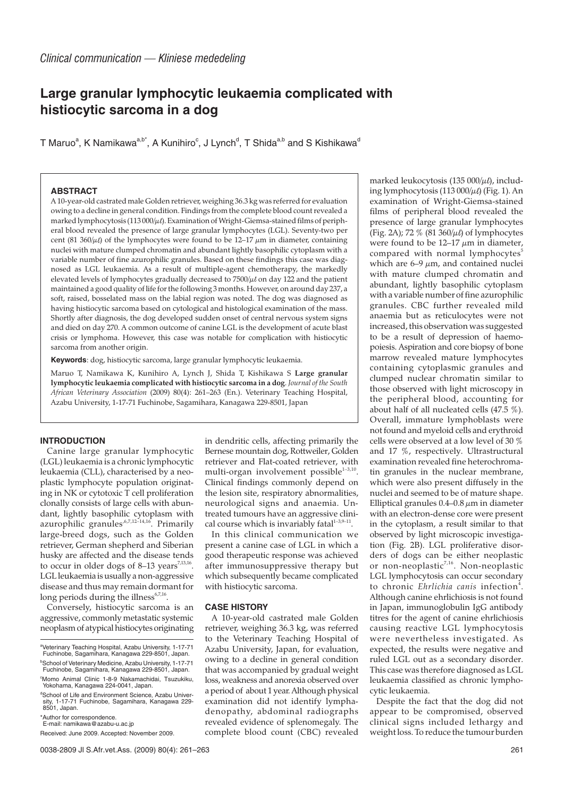# **Large granular lymphocytic leukaemia complicated with histiocytic sarcoma in a dog**

T Maruo $\mathrm{^a, K}$  Namikawa $\mathrm{^{a,b^\star}}$ , A Kunihiro $\mathrm{^c, J}$  Lynch $\mathrm{^d, T}$  Shida $\mathrm{^{a,b}}$  and S Kishikawa $\mathrm{^d}$ 

## **ABSTRACT**

A 10-year-old castrated male Golden retriever, weighing 36.3 kg was referred for evaluation owing to a decline in general condition. Findings from the complete blood count revealed a marked lymphocytosis (113 000/ $\mu$ t). Examination of Wright-Giemsa-stained films of peripheral blood revealed the presence of large granular lymphocytes (LGL). Seventy-two per cent (81 360/ $\mu$ ) of the lymphocytes were found to be 12–17  $\mu$ m in diameter, containing nuclei with mature clumped chromatin and abundant lightly basophilic cytoplasm with a variable number of fine azurophilic granules. Based on these findings this case was diagnosed as LGL leukaemia. As a result of multiple-agent chemotherapy, the markedly elevated levels of lymphocytes gradually decreased to  $7500/\mu$  on day 122 and the patient maintained a good quality of life for the following 3 months. However, on around day 237, a soft, raised, bosselated mass on the labial region was noted. The dog was diagnosed as having histiocytic sarcoma based on cytological and histological examination of the mass. Shortly after diagnosis, the dog developed sudden onset of central nervous system signs and died on day 270. A common outcome of canine LGL is the development of acute blast crisis or lymphoma. However, this case was notable for complication with histiocytic sarcoma from another origin.

**Keywords**: dog, histiocytic sarcoma, large granular lymphocytic leukaemia.

Maruo T, Namikawa K, Kunihiro A, Lynch J, Shida T, Kishikawa S **Large granular lymphocytic leukaemia complicated with histiocytic sarcoma in a dog**. *Journal of the South African Veterinary Association* (2009) 80(4): 261–263 (En.). Veterinary Teaching Hospital, Azabu University, 1-17-71 Fuchinobe, Sagamihara, Kanagawa 229-8501, Japan

### **INTRODUCTION**

Canine large granular lymphocytic (LGL) leukaemia is a chronic lymphocytic leukaemia (CLL), characterised by a neoplastic lymphocyte population originating in NK or cytotoxic T cell proliferation clonally consists of large cells with abundant, lightly basophilic cytoplasm with azurophilic granules<sup>6,7,12–14,16</sup>. Primarily large-breed dogs, such as the Golden retriever, German shepherd and Siberian husky are affected and the disease tends to occur in older dogs of  $8-13$  years<sup>7,13,16</sup>. LGL leukaemia is usually a non-aggressive disease and thus may remain dormant for long periods during the illness<sup>6,7,16</sup>.

Conversely, histiocytic sarcoma is an aggressive, commonly metastatic systemic neoplasm of atypical histiocytes originating

\*Author for correspondence.

E-mail: namikawa@azabu-u.ac.jp

Received: June 2009. Accepted: November 2009.

in dendritic cells, affecting primarily the Bernese mountain dog, Rottweiler, Golden retriever and Flat-coated retriever, with multi-organ involvement possible $1-3,10$ . Clinical findings commonly depend on the lesion site, respiratory abnormalities, neurological signs and anaemia. Untreated tumours have an aggressive clinical course which is invariably fatal $1-3,9-11$ .

In this clinical communication we present a canine case of LGL in which a good therapeutic response was achieved after immunosuppressive therapy but which subsequently became complicated with histiocytic sarcoma.

#### **CASE HISTORY**

A 10-year-old castrated male Golden retriever, weighing 36.3 kg, was referred to the Veterinary Teaching Hospital of Azabu University, Japan, for evaluation, owing to a decline in general condition that was accompanied by gradual weight loss, weakness and anorexia observed over a period of about 1 year. Although physical examination did not identify lymphadenopathy, abdominal radiographs revealed evidence of splenomegaly. The complete blood count (CBC) revealed

marked leukocytosis (135 000/ $\mu$ l), including lymphocytosis (113 000/ $\mu$ l) (Fig. 1). An examination of Wright-Giemsa-stained films of peripheral blood revealed the presence of large granular lymphocytes (Fig. 2A); 72 % (81  $360/\mu$ ) of lymphocytes were found to be  $12-17 \mu m$  in diameter, compared with normal lymphocytes<sup>5</sup> which are  $6-9 \mu m$ , and contained nuclei with mature clumped chromatin and abundant, lightly basophilic cytoplasm with a variable number of fine azurophilic granules. CBC further revealed mild anaemia but as reticulocytes were not increased, this observation was suggested to be a result of depression of haemopoiesis. Aspiration and core biopsy of bone marrow revealed mature lymphocytes containing cytoplasmic granules and clumped nuclear chromatin similar to those observed with light microscopy in the peripheral blood, accounting for about half of all nucleated cells (47.5 %). Overall, immature lymphoblasts were not found and myeloid cells and erythroid cells were observed at a low level of 30 % and 17 %, respectively. Ultrastructural examination revealed fine heterochromatin granules in the nuclear membrane, which were also present diffusely in the nuclei and seemed to be of mature shape. Elliptical granules  $0.4-0.8 \mu m$  in diameter with an electron-dense core were present in the cytoplasm, a result similar to that observed by light microscopic investigation (Fig. 2B). LGL proliferative disorders of dogs can be either neoplastic or non-neoplastic<sup>7,16</sup>. Non-neoplastic LGL lymphocytosis can occur secondary to chronic Ehrlichia canis infection<sup>4</sup>. Although canine ehrlichiosis is not found in Japan, immunoglobulin IgG antibody titres for the agent of canine ehrlichiosis causing reactive LGL lymphocytosis were nevertheless investigated. As expected, the results were negative and ruled LGL out as a secondary disorder. This case was therefore diagnosed as LGL leukaemia classified as chronic lymphocytic leukaemia.

Despite the fact that the dog did not appear to be compromised, observed clinical signs included lethargy and weight loss. To reduce the tumour burden

a Veterinary Teaching Hospital, Azabu University, 1-17-71 Fuchinobe, Sagamihara, Kanagawa 229-8501, Japan. b School of Veterinary Medicine, Azabu University, 1-17-71 Fuchinobe, Sagamihara, Kanagawa 229-8501, Japan.

c Momo Animal Clinic 1-8-9 Nakamachidai, Tsuzukiku, Yokohama, Kanagawa 224-0041, Japan.

d School of Life and Environment Science, Azabu University, 1-17-71 Fuchinobe, Sagamihara, Kanagawa 229- 8501, Japan.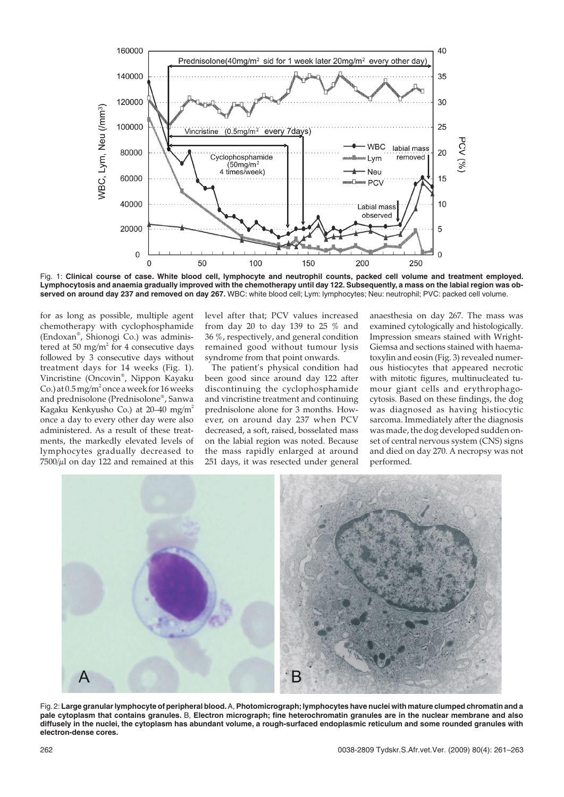

Fig. 1: **Clinical course of case. White blood cell, lymphocyte and neutrophil counts, packed cell volume and treatment employed. Lymphocytosis and anaemia gradually improved with the chemotherapy until day 122. Subsequently, a mass on the labial region was observed on around day 237 and removed on day 267.** WBC: white blood cell; Lym: lymphocytes; Neu: neutrophil; PVC: packed cell volume.

for as long as possible, multiple agent chemotherapy with cyclophosphamide (Endoxan® , Shionogi Co.) was administered at 50 mg/m<sup>2</sup> for 4 consecutive days followed by 3 consecutive days without treatment days for 14 weeks (Fig. 1). Vincristine (Oncovin® , Nippon Kayaku Co.) at  $0.5\,\mathrm{mg/m^2}$  once a week for 16 weeks and prednisolone (Prednisolone® , Sanwa Kagaku Kenkyusho Co.) at 20–40 mg/m2 once a day to every other day were also administered. As a result of these treatments, the markedly elevated levels of lymphocytes gradually decreased to  $7500/\mu$ l on day 122 and remained at this

level after that; PCV values increased from day 20 to day 139 to 25 % and 36 %, respectively, and general condition remained good without tumour lysis syndrome from that point onwards.

The patient's physical condition had been good since around day 122 after discontinuing the cyclophosphamide and vincristine treatment and continuing prednisolone alone for 3 months. However, on around day 237 when PCV decreased, a soft, raised, bosselated mass on the labial region was noted. Because the mass rapidly enlarged at around 251 days, it was resected under general

anaesthesia on day 267. The mass was examined cytologically and histologically. Impression smears stained with Wright-Giemsa and sections stained with haematoxylin and eosin (Fig. 3) revealed numerous histiocytes that appeared necrotic with mitotic figures, multinucleated tumour giant cells and erythrophagocytosis. Based on these findings, the dog was diagnosed as having histiocytic sarcoma. Immediately after the diagnosis was made, the dog developed sudden onset of central nervous system (CNS) signs and died on day 270. A necropsy was not performed.



Fig.2: **Large granular lymphocyte of peripheral blood.**A, **Photomicrograph;lymphocytes have nuclei with mature clumped chromatin and a pale cytoplasm that contains granules.** B, **Electron micrograph; fine heterochromatin granules are in the nuclear membrane and also diffusely in the nuclei, the cytoplasm has abundant volume, a rough-surfaced endoplasmic reticulum and some rounded granules with electron-dense cores.**